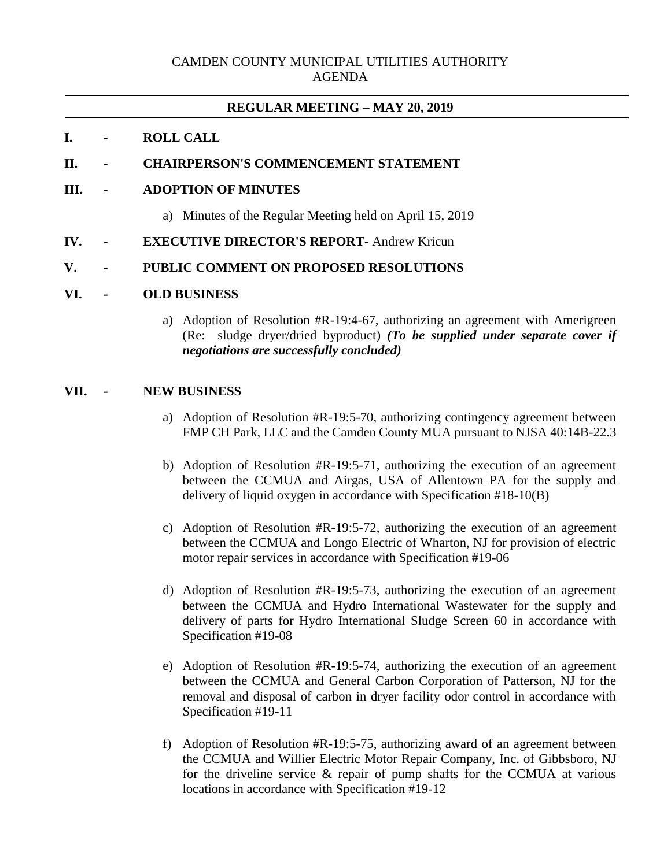# **REGULAR MEETING – MAY 20, 2019**

## **I. - ROLL CALL**

### **II. - CHAIRPERSON'S COMMENCEMENT STATEMENT**

### **III. - ADOPTION OF MINUTES**

- a) Minutes of the Regular Meeting held on April 15, 2019
- **IV. - EXECUTIVE DIRECTOR'S REPORT** Andrew Kricun

### **V. - PUBLIC COMMENT ON PROPOSED RESOLUTIONS**

#### **VI. - OLD BUSINESS**

a) Adoption of Resolution #R-19:4-67, authorizing an agreement with Amerigreen (Re: sludge dryer/dried byproduct) *(To be supplied under separate cover if negotiations are successfully concluded)*

## **VII. - NEW BUSINESS**

- a) Adoption of Resolution #R-19:5-70, authorizing contingency agreement between FMP CH Park, LLC and the Camden County MUA pursuant to NJSA 40:14B-22.3
- b) Adoption of Resolution #R-19:5-71, authorizing the execution of an agreement between the CCMUA and Airgas, USA of Allentown PA for the supply and delivery of liquid oxygen in accordance with Specification #18-10(B)
- c) Adoption of Resolution #R-19:5-72, authorizing the execution of an agreement between the CCMUA and Longo Electric of Wharton, NJ for provision of electric motor repair services in accordance with Specification #19-06
- d) Adoption of Resolution #R-19:5-73, authorizing the execution of an agreement between the CCMUA and Hydro International Wastewater for the supply and delivery of parts for Hydro International Sludge Screen 60 in accordance with Specification #19-08
- e) Adoption of Resolution #R-19:5-74, authorizing the execution of an agreement between the CCMUA and General Carbon Corporation of Patterson, NJ for the removal and disposal of carbon in dryer facility odor control in accordance with Specification #19-11
- f) Adoption of Resolution #R-19:5-75, authorizing award of an agreement between the CCMUA and Willier Electric Motor Repair Company, Inc. of Gibbsboro, NJ for the driveline service & repair of pump shafts for the CCMUA at various locations in accordance with Specification #19-12